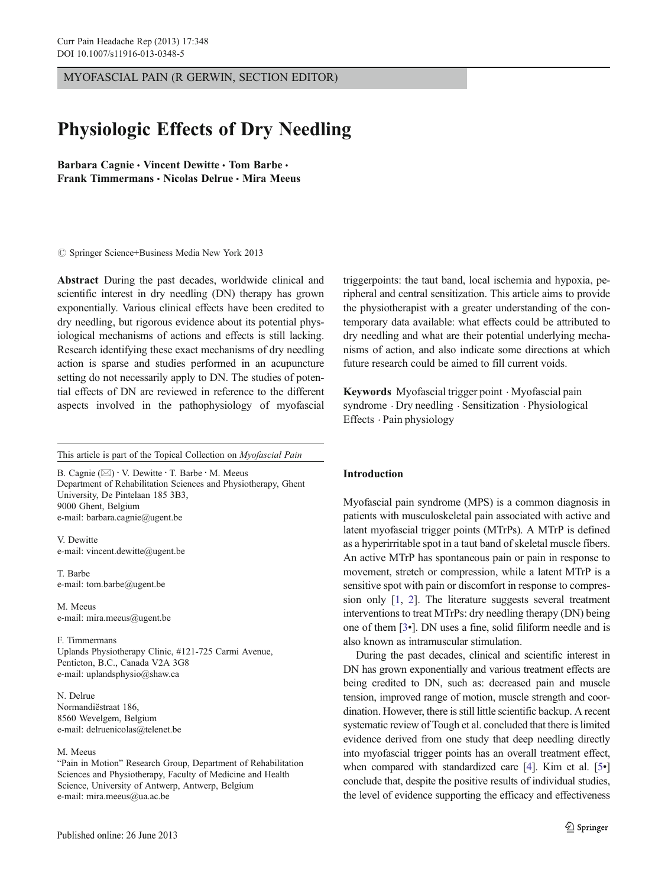MYOFASCIAL PAIN (R GERWIN, SECTION EDITOR)

# Physiologic Effects of Dry Needling

Barbara Cagnie • Vincent Dewitte • Tom Barbe • Frank Timmermans & Nicolas Delrue & Mira Meeus

 $\circledcirc$  Springer Science+Business Media New York 2013

Abstract During the past decades, worldwide clinical and scientific interest in dry needling (DN) therapy has grown exponentially. Various clinical effects have been credited to dry needling, but rigorous evidence about its potential physiological mechanisms of actions and effects is still lacking. Research identifying these exact mechanisms of dry needling action is sparse and studies performed in an acupuncture setting do not necessarily apply to DN. The studies of potential effects of DN are reviewed in reference to the different aspects involved in the pathophysiology of myofascial

This article is part of the Topical Collection on Myofascial Pain

B. Cagnie  $(\boxtimes) \cdot V$ . Dewitte  $\cdot$  T. Barbe  $\cdot$  M. Meeus Department of Rehabilitation Sciences and Physiotherapy, Ghent University, De Pintelaan 185 3B3, 9000 Ghent, Belgium e-mail: barbara.cagnie@ugent.be

V. Dewitte e-mail: vincent.dewitte@ugent.be

T. Barbe e-mail: tom.barbe@ugent.be

M. Meeus e-mail: mira.meeus@ugent.be

F. Timmermans Uplands Physiotherapy Clinic, #121-725 Carmi Avenue, Penticton, B.C., Canada V2A 3G8 e-mail: uplandsphysio@shaw.ca

N. Delrue Normandiëstraat 186, 8560 Wevelgem, Belgium e-mail: delruenicolas@telenet.be

#### M. Meeus

"Pain in Motion" Research Group, Department of Rehabilitation Sciences and Physiotherapy, Faculty of Medicine and Health Science, University of Antwerp, Antwerp, Belgium e-mail: mira.meeus@ua.ac.be

triggerpoints: the taut band, local ischemia and hypoxia, peripheral and central sensitization. This article aims to provide the physiotherapist with a greater understanding of the contemporary data available: what effects could be attributed to dry needling and what are their potential underlying mechanisms of action, and also indicate some directions at which future research could be aimed to fill current voids.

Keywords Myofascial trigger point . Myofascial pain syndrome . Dry needling . Sensitization . Physiological Effects . Pain physiology

#### Introduction

Myofascial pain syndrome (MPS) is a common diagnosis in patients with musculoskeletal pain associated with active and latent myofascial trigger points (MTrPs). A MTrP is defined as a hyperirritable spot in a taut band of skeletal muscle fibers. An active MTrP has spontaneous pain or pain in response to movement, stretch or compression, while a latent MTrP is a sensitive spot with pain or discomfort in response to compression only [\[1](#page-6-0), [2](#page-6-0)]. The literature suggests several treatment interventions to treat MTrPs: dry needling therapy (DN) being one of them [\[3](#page-6-0)•]. DN uses a fine, solid filiform needle and is also known as intramuscular stimulation.

During the past decades, clinical and scientific interest in DN has grown exponentially and various treatment effects are being credited to DN, such as: decreased pain and muscle tension, improved range of motion, muscle strength and coordination. However, there is still little scientific backup. A recent systematic review of Tough et al. concluded that there is limited evidence derived from one study that deep needling directly into myofascial trigger points has an overall treatment effect, when compared with standardized care [[4](#page-6-0)]. Kim et al. [\[5](#page-6-0)•] conclude that, despite the positive results of individual studies, the level of evidence supporting the efficacy and effectiveness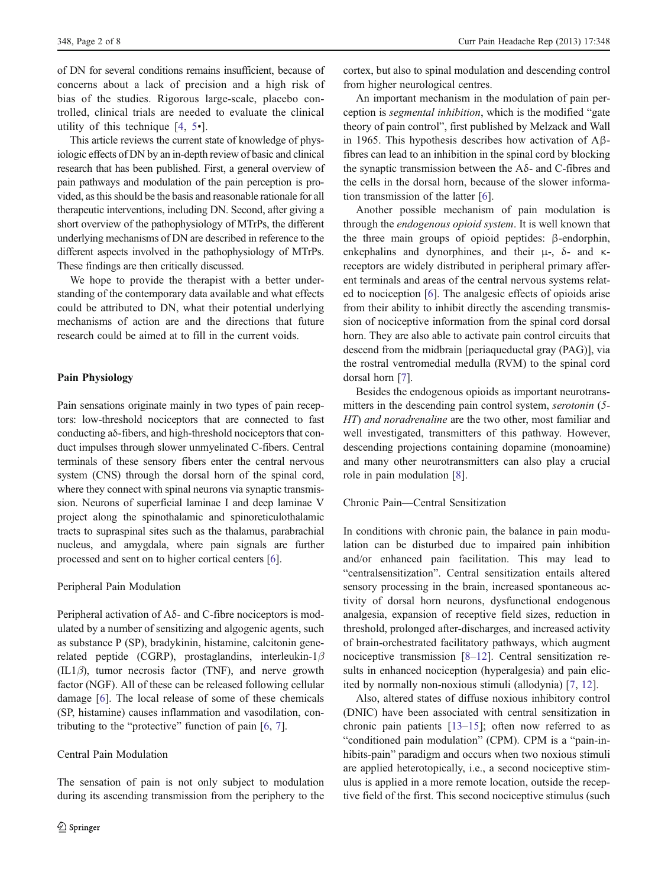of DN for several conditions remains insufficient, because of concerns about a lack of precision and a high risk of bias of the studies. Rigorous large-scale, placebo controlled, clinical trials are needed to evaluate the clinical utility of this technique [[4](#page-6-0), [5](#page-6-0)•].

This article reviews the current state of knowledge of physiologic effects of DN by an in-depth review of basic and clinical research that has been published. First, a general overview of pain pathways and modulation of the pain perception is provided, as this should be the basis and reasonable rationale for all therapeutic interventions, including DN. Second, after giving a short overview of the pathophysiology of MTrPs, the different underlying mechanisms of DN are described in reference to the different aspects involved in the pathophysiology of MTrPs. These findings are then critically discussed.

We hope to provide the therapist with a better understanding of the contemporary data available and what effects could be attributed to DN, what their potential underlying mechanisms of action are and the directions that future research could be aimed at to fill in the current voids.

#### Pain Physiology

Pain sensations originate mainly in two types of pain receptors: low-threshold nociceptors that are connected to fast conducting  $a\delta$ -fibers, and high-threshold nociceptors that conduct impulses through slower unmyelinated C-fibers. Central terminals of these sensory fibers enter the central nervous system (CNS) through the dorsal horn of the spinal cord, where they connect with spinal neurons via synaptic transmission. Neurons of superficial laminae I and deep laminae V project along the spinothalamic and spinoreticulothalamic tracts to supraspinal sites such as the thalamus, parabrachial nucleus, and amygdala, where pain signals are further processed and sent on to higher cortical centers [\[6\]](#page-6-0).

#### Peripheral Pain Modulation

Peripheral activation of Aδ- and C-fibre nociceptors is modulated by a number of sensitizing and algogenic agents, such as substance P (SP), bradykinin, histamine, calcitonin generelated peptide (CGRP), prostaglandins, interleukin-1 $\beta$  $(IL1\beta)$ , tumor necrosis factor (TNF), and nerve growth factor (NGF). All of these can be released following cellular damage [[6\]](#page-6-0). The local release of some of these chemicals (SP, histamine) causes inflammation and vasodilation, contributing to the "protective" function of pain [\[6](#page-6-0), [7\]](#page-6-0).

## Central Pain Modulation

The sensation of pain is not only subject to modulation during its ascending transmission from the periphery to the cortex, but also to spinal modulation and descending control from higher neurological centres.

An important mechanism in the modulation of pain perception is segmental inhibition, which is the modified "gate theory of pain control", first published by Melzack and Wall in 1965. This hypothesis describes how activation of Aβfibres can lead to an inhibition in the spinal cord by blocking the synaptic transmission between the  $A\delta$ - and C-fibres and the cells in the dorsal horn, because of the slower information transmission of the latter [[6\]](#page-6-0).

Another possible mechanism of pain modulation is through the endogenous opioid system. It is well known that the three main groups of opioid peptides: β-endorphin, enkephalins and dynorphines, and their  $\mu$ -,  $\delta$ - and  $\kappa$ receptors are widely distributed in peripheral primary afferent terminals and areas of the central nervous systems related to nociception [[6\]](#page-6-0). The analgesic effects of opioids arise from their ability to inhibit directly the ascending transmission of nociceptive information from the spinal cord dorsal horn. They are also able to activate pain control circuits that descend from the midbrain [periaqueductal gray (PAG)], via the rostral ventromedial medulla (RVM) to the spinal cord dorsal horn [[7\]](#page-6-0).

Besides the endogenous opioids as important neurotransmitters in the descending pain control system, serotonin (5- HT) and noradrenaline are the two other, most familiar and well investigated, transmitters of this pathway. However, descending projections containing dopamine (monoamine) and many other neurotransmitters can also play a crucial role in pain modulation [\[8](#page-6-0)].

#### Chronic Pain—Central Sensitization

In conditions with chronic pain, the balance in pain modulation can be disturbed due to impaired pain inhibition and/or enhanced pain facilitation. This may lead to "centralsensitization". Central sensitization entails altered sensory processing in the brain, increased spontaneous activity of dorsal horn neurons, dysfunctional endogenous analgesia, expansion of receptive field sizes, reduction in threshold, prolonged after-discharges, and increased activity of brain-orchestrated facilitatory pathways, which augment nociceptive transmission [[8](#page-6-0)–[12\]](#page-6-0). Central sensitization results in enhanced nociception (hyperalgesia) and pain elicited by normally non-noxious stimuli (allodynia) [[7](#page-6-0), [12](#page-6-0)].

Also, altered states of diffuse noxious inhibitory control (DNIC) have been associated with central sensitization in chronic pain patients [[13](#page-6-0)–[15\]](#page-6-0); often now referred to as "conditioned pain modulation" (CPM). CPM is a "pain-inhibits-pain" paradigm and occurs when two noxious stimuli are applied heterotopically, i.e., a second nociceptive stimulus is applied in a more remote location, outside the receptive field of the first. This second nociceptive stimulus (such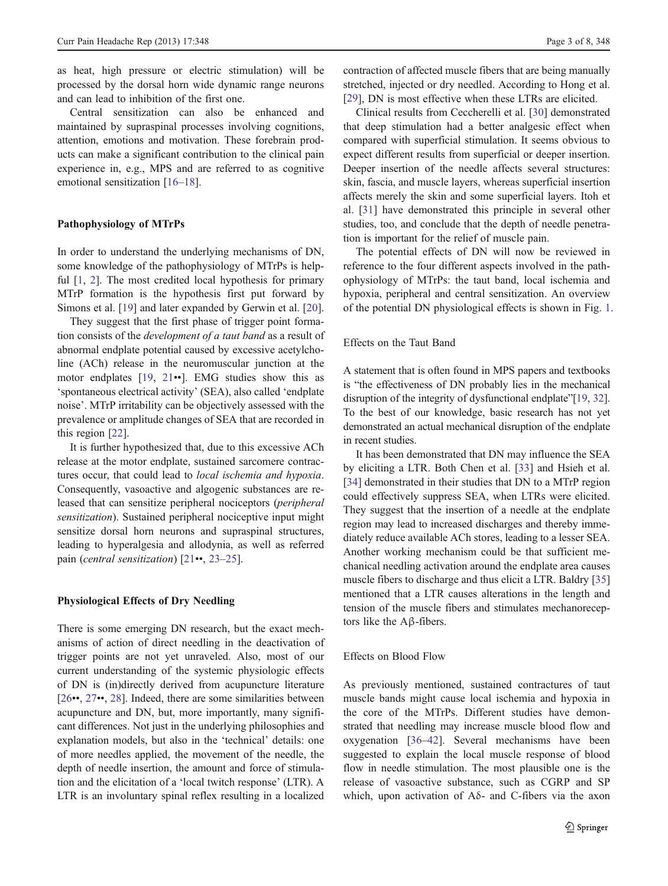as heat, high pressure or electric stimulation) will be processed by the dorsal horn wide dynamic range neurons and can lead to inhibition of the first one.

Central sensitization can also be enhanced and maintained by supraspinal processes involving cognitions, attention, emotions and motivation. These forebrain products can make a significant contribution to the clinical pain experience in, e.g., MPS and are referred to as cognitive emotional sensitization [\[16](#page-6-0)–[18\]](#page-6-0).

#### Pathophysiology of MTrPs

In order to understand the underlying mechanisms of DN, some knowledge of the pathophysiology of MTrPs is helpful [\[1](#page-6-0), [2](#page-6-0)]. The most credited local hypothesis for primary MTrP formation is the hypothesis first put forward by Simons et al. [[19\]](#page-6-0) and later expanded by Gerwin et al. [\[20](#page-6-0)].

They suggest that the first phase of trigger point formation consists of the *development of a taut band* as a result of abnormal endplate potential caused by excessive acetylcholine (ACh) release in the neuromuscular junction at the motor endplates [[19,](#page-6-0) [21](#page-6-0)••]. EMG studies show this as 'spontaneous electrical activity' (SEA), also called 'endplate noise'. MTrP irritability can be objectively assessed with the prevalence or amplitude changes of SEA that are recorded in this region [[22\]](#page-6-0).

It is further hypothesized that, due to this excessive ACh release at the motor endplate, sustained sarcomere contractures occur, that could lead to local ischemia and hypoxia. Consequently, vasoactive and algogenic substances are released that can sensitize peripheral nociceptors (peripheral sensitization). Sustained peripheral nociceptive input might sensitize dorsal horn neurons and supraspinal structures, leading to hyperalgesia and allodynia, as well as referred pain (central sensitization) [\[21](#page-6-0)••, [23](#page-6-0)–[25](#page-6-0)].

#### Physiological Effects of Dry Needling

There is some emerging DN research, but the exact mechanisms of action of direct needling in the deactivation of trigger points are not yet unraveled. Also, most of our current understanding of the systemic physiologic effects of DN is (in)directly derived from acupuncture literature [\[26](#page-6-0)••, [27](#page-7-0)••, [28](#page-7-0)]. Indeed, there are some similarities between acupuncture and DN, but, more importantly, many significant differences. Not just in the underlying philosophies and explanation models, but also in the 'technical' details: one of more needles applied, the movement of the needle, the depth of needle insertion, the amount and force of stimulation and the elicitation of a 'local twitch response' (LTR). A LTR is an involuntary spinal reflex resulting in a localized

contraction of affected muscle fibers that are being manually stretched, injected or dry needled. According to Hong et al. [\[29](#page-7-0)], DN is most effective when these LTRs are elicited.

Clinical results from Ceccherelli et al. [\[30](#page-7-0)] demonstrated that deep stimulation had a better analgesic effect when compared with superficial stimulation. It seems obvious to expect different results from superficial or deeper insertion. Deeper insertion of the needle affects several structures: skin, fascia, and muscle layers, whereas superficial insertion affects merely the skin and some superficial layers. Itoh et al. [\[31](#page-7-0)] have demonstrated this principle in several other studies, too, and conclude that the depth of needle penetration is important for the relief of muscle pain.

The potential effects of DN will now be reviewed in reference to the four different aspects involved in the pathophysiology of MTrPs: the taut band, local ischemia and hypoxia, peripheral and central sensitization. An overview of the potential DN physiological effects is shown in Fig. [1.](#page-3-0)

#### Effects on the Taut Band

A statement that is often found in MPS papers and textbooks is "the effectiveness of DN probably lies in the mechanical disruption of the integrity of dysfunctional endplate"[\[19,](#page-6-0) [32\]](#page-7-0). To the best of our knowledge, basic research has not yet demonstrated an actual mechanical disruption of the endplate in recent studies.

It has been demonstrated that DN may influence the SEA by eliciting a LTR. Both Chen et al. [\[33](#page-7-0)] and Hsieh et al. [\[34](#page-7-0)] demonstrated in their studies that DN to a MTrP region could effectively suppress SEA, when LTRs were elicited. They suggest that the insertion of a needle at the endplate region may lead to increased discharges and thereby immediately reduce available ACh stores, leading to a lesser SEA. Another working mechanism could be that sufficient mechanical needling activation around the endplate area causes muscle fibers to discharge and thus elicit a LTR. Baldry [\[35](#page-7-0)] mentioned that a LTR causes alterations in the length and tension of the muscle fibers and stimulates mechanoreceptors like the Aβ-fibers.

#### Effects on Blood Flow

As previously mentioned, sustained contractures of taut muscle bands might cause local ischemia and hypoxia in the core of the MTrPs. Different studies have demonstrated that needling may increase muscle blood flow and oxygenation [\[36](#page-7-0)–[42](#page-7-0)]. Several mechanisms have been suggested to explain the local muscle response of blood flow in needle stimulation. The most plausible one is the release of vasoactive substance, such as CGRP and SP which, upon activation of Aδ- and C-fibers via the axon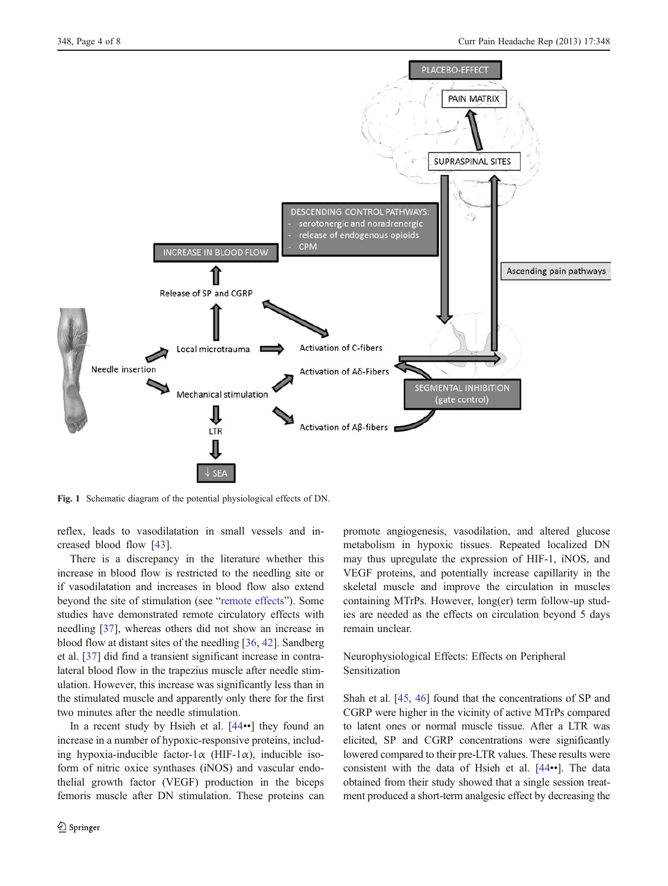<span id="page-3-0"></span>

Fig. 1 Schematic diagram of the potential physiological effects of DN.

reflex, leads to vasodilatation in small vessels and increased blood flow [[43\]](#page-7-0).

There is a discrepancy in the literature whether this increase in blood flow is restricted to the needling site or if vasodilatation and increases in blood flow also extend beyond the site of stimulation (see "[remote effects](#page-5-0)"). Some studies have demonstrated remote circulatory effects with needling [[37\]](#page-7-0), whereas others did not show an increase in blood flow at distant sites of the needling [[36,](#page-7-0) [42\]](#page-7-0). Sandberg et al. [[37\]](#page-7-0) did find a transient significant increase in contralateral blood flow in the trapezius muscle after needle stimulation. However, this increase was significantly less than in the stimulated muscle and apparently only there for the first two minutes after the needle stimulation.

In a recent study by Hsieh et al. [[44](#page-7-0)••] they found an increase in a number of hypoxic-responsive proteins, including hypoxia-inducible factor- $1\alpha$  (HIF- $1\alpha$ ), inducible isoform of nitric oxice synthases (iNOS) and vascular endothelial growth factor (VEGF) production in the biceps femoris muscle after DN stimulation. These proteins can promote angiogenesis, vasodilation, and altered glucose metabolism in hypoxic tissues. Repeated localized DN may thus upregulate the expression of HIF-1, iNOS, and VEGF proteins, and potentially increase capillarity in the skeletal muscle and improve the circulation in muscles containing MTrPs. However, long(er) term follow-up studies are needed as the effects on circulation beyond 5 days remain unclear.

# Neurophysiological Effects: Effects on Peripheral Sensitization

Shah et al. [[45,](#page-7-0) [46](#page-7-0)] found that the concentrations of SP and CGRP were higher in the vicinity of active MTrPs compared to latent ones or normal muscle tissue. After a LTR was elicited, SP and CGRP concentrations were significantly lowered compared to their pre-LTR values. These results were consistent with the data of Hsieh et al. [[44](#page-7-0)••]. The data obtained from their study showed that a single session treatment produced a short-term analgesic effect by decreasing the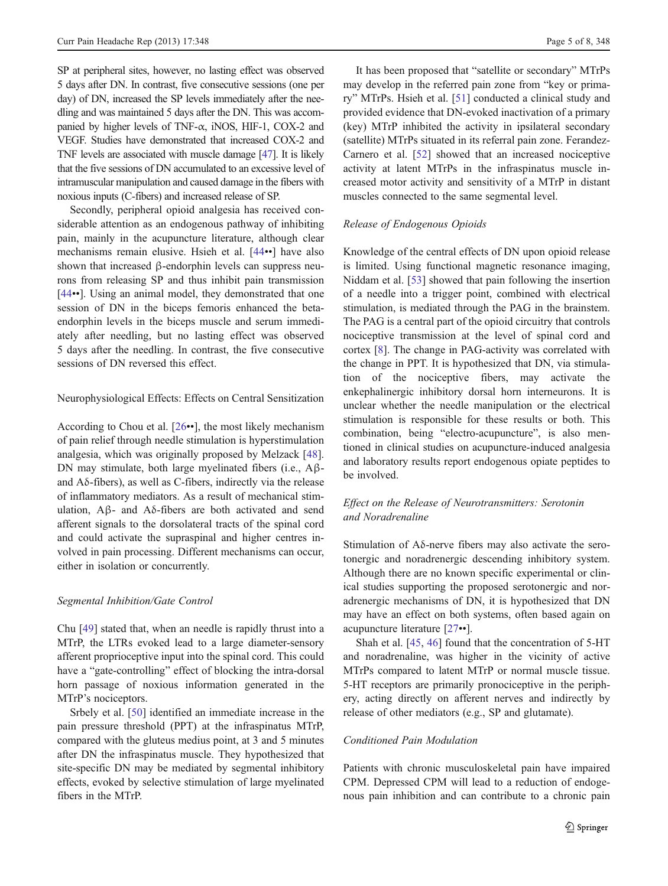SP at peripheral sites, however, no lasting effect was observed 5 days after DN. In contrast, five consecutive sessions (one per day) of DN, increased the SP levels immediately after the needling and was maintained 5 days after the DN. This was accompanied by higher levels of TNF- $\alpha$ , iNOS, HIF-1, COX-2 and VEGF. Studies have demonstrated that increased COX-2 and TNF levels are associated with muscle damage [[47\]](#page-7-0). It is likely that the five sessions of DN accumulated to an excessive level of intramuscular manipulation and caused damage in the fibers with noxious inputs (C-fibers) and increased release of SP.

Secondly, peripheral opioid analgesia has received considerable attention as an endogenous pathway of inhibiting pain, mainly in the acupuncture literature, although clear mechanisms remain elusive. Hsieh et al. [[44](#page-7-0)••] have also shown that increased β-endorphin levels can suppress neurons from releasing SP and thus inhibit pain transmission [\[44](#page-7-0)••]. Using an animal model, they demonstrated that one session of DN in the biceps femoris enhanced the betaendorphin levels in the biceps muscle and serum immediately after needling, but no lasting effect was observed 5 days after the needling. In contrast, the five consecutive sessions of DN reversed this effect.

#### Neurophysiological Effects: Effects on Central Sensitization

According to Chou et al. [\[26](#page-6-0)••], the most likely mechanism of pain relief through needle stimulation is hyperstimulation analgesia, which was originally proposed by Melzack [\[48](#page-7-0)]. DN may stimulate, both large myelinated fibers (i.e., Aβand Aδ-fibers), as well as C-fibers, indirectly via the release of inflammatory mediators. As a result of mechanical stimulation, Aβ- and Aδ-fibers are both activated and send afferent signals to the dorsolateral tracts of the spinal cord and could activate the supraspinal and higher centres involved in pain processing. Different mechanisms can occur, either in isolation or concurrently.

#### Segmental Inhibition/Gate Control

Chu [[49\]](#page-7-0) stated that, when an needle is rapidly thrust into a MTrP, the LTRs evoked lead to a large diameter-sensory afferent proprioceptive input into the spinal cord. This could have a "gate-controlling" effect of blocking the intra-dorsal horn passage of noxious information generated in the MTrP's nociceptors.

Srbely et al. [\[50](#page-7-0)] identified an immediate increase in the pain pressure threshold (PPT) at the infraspinatus MTrP, compared with the gluteus medius point, at 3 and 5 minutes after DN the infraspinatus muscle. They hypothesized that site-specific DN may be mediated by segmental inhibitory effects, evoked by selective stimulation of large myelinated fibers in the MTrP.

It has been proposed that "satellite or secondary" MTrPs may develop in the referred pain zone from "key or primary" MTrPs. Hsieh et al. [\[51](#page-7-0)] conducted a clinical study and provided evidence that DN-evoked inactivation of a primary (key) MTrP inhibited the activity in ipsilateral secondary (satellite) MTrPs situated in its referral pain zone. Ferandez-Carnero et al. [\[52](#page-7-0)] showed that an increased nociceptive activity at latent MTrPs in the infraspinatus muscle increased motor activity and sensitivity of a MTrP in distant muscles connected to the same segmental level.

#### Release of Endogenous Opioids

Knowledge of the central effects of DN upon opioid release is limited. Using functional magnetic resonance imaging, Niddam et al. [[53\]](#page-7-0) showed that pain following the insertion of a needle into a trigger point, combined with electrical stimulation, is mediated through the PAG in the brainstem. The PAG is a central part of the opioid circuitry that controls nociceptive transmission at the level of spinal cord and cortex [\[8](#page-6-0)]. The change in PAG-activity was correlated with the change in PPT. It is hypothesized that DN, via stimulation of the nociceptive fibers, may activate the enkephalinergic inhibitory dorsal horn interneurons. It is unclear whether the needle manipulation or the electrical stimulation is responsible for these results or both. This combination, being "electro-acupuncture", is also mentioned in clinical studies on acupuncture-induced analgesia and laboratory results report endogenous opiate peptides to be involved.

# Effect on the Release of Neurotransmitters: Serotonin and Noradrenaline

Stimulation of Aδ-nerve fibers may also activate the serotonergic and noradrenergic descending inhibitory system. Although there are no known specific experimental or clinical studies supporting the proposed serotonergic and noradrenergic mechanisms of DN, it is hypothesized that DN may have an effect on both systems, often based again on acupuncture literature [\[27](#page-7-0)••].

Shah et al. [[45,](#page-7-0) [46\]](#page-7-0) found that the concentration of 5-HT and noradrenaline, was higher in the vicinity of active MTrPs compared to latent MTrP or normal muscle tissue. 5-HT receptors are primarily pronociceptive in the periphery, acting directly on afferent nerves and indirectly by release of other mediators (e.g., SP and glutamate).

## Conditioned Pain Modulation

Patients with chronic musculoskeletal pain have impaired CPM. Depressed CPM will lead to a reduction of endogenous pain inhibition and can contribute to a chronic pain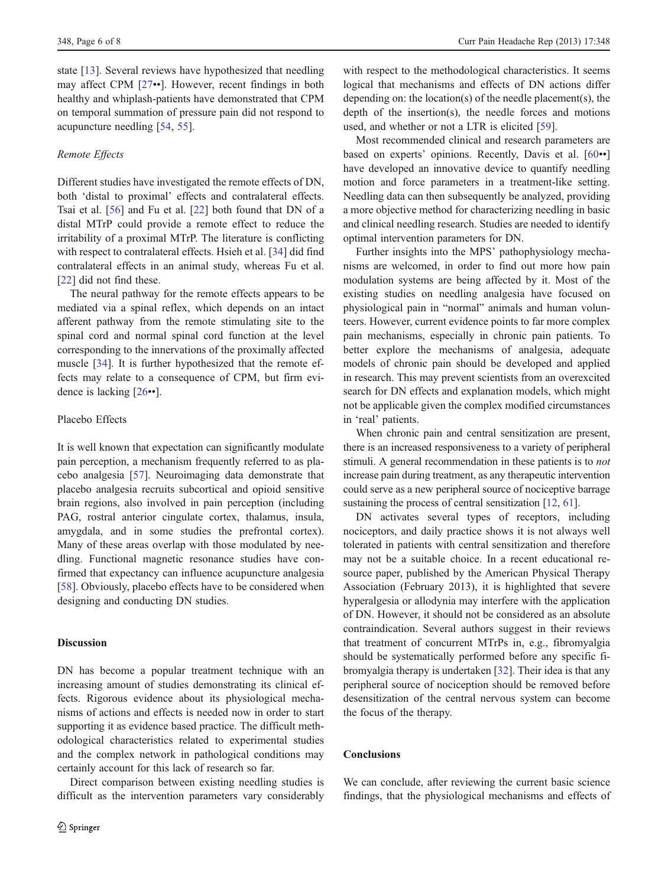<span id="page-5-0"></span>state [\[13](#page-6-0)]. Several reviews have hypothesized that needling may affect CPM [\[27](#page-7-0)••]. However, recent findings in both healthy and whiplash-patients have demonstrated that CPM on temporal summation of pressure pain did not respond to acupuncture needling [[54,](#page-7-0) [55](#page-7-0)].

## Remote Effects

Different studies have investigated the remote effects of DN, both 'distal to proximal' effects and contralateral effects. Tsai et al. [[56\]](#page-7-0) and Fu et al. [[22\]](#page-6-0) both found that DN of a distal MTrP could provide a remote effect to reduce the irritability of a proximal MTrP. The literature is conflicting with respect to contralateral effects. Hsieh et al. [[34\]](#page-7-0) did find contralateral effects in an animal study, whereas Fu et al. [\[22](#page-6-0)] did not find these.

The neural pathway for the remote effects appears to be mediated via a spinal reflex, which depends on an intact afferent pathway from the remote stimulating site to the spinal cord and normal spinal cord function at the level corresponding to the innervations of the proximally affected muscle [\[34](#page-7-0)]. It is further hypothesized that the remote effects may relate to a consequence of CPM, but firm evidence is lacking [[26](#page-6-0)••].

#### Placebo Effects

It is well known that expectation can significantly modulate pain perception, a mechanism frequently referred to as placebo analgesia [[57\]](#page-7-0). Neuroimaging data demonstrate that placebo analgesia recruits subcortical and opioid sensitive brain regions, also involved in pain perception (including PAG, rostral anterior cingulate cortex, thalamus, insula, amygdala, and in some studies the prefrontal cortex). Many of these areas overlap with those modulated by needling. Functional magnetic resonance studies have confirmed that expectancy can influence acupuncture analgesia [\[58](#page-7-0)]. Obviously, placebo effects have to be considered when designing and conducting DN studies.

#### **Discussion**

DN has become a popular treatment technique with an increasing amount of studies demonstrating its clinical effects. Rigorous evidence about its physiological mechanisms of actions and effects is needed now in order to start supporting it as evidence based practice. The difficult methodological characteristics related to experimental studies and the complex network in pathological conditions may certainly account for this lack of research so far.

Direct comparison between existing needling studies is difficult as the intervention parameters vary considerably

with respect to the methodological characteristics. It seems logical that mechanisms and effects of DN actions differ depending on: the location(s) of the needle placement(s), the depth of the insertion(s), the needle forces and motions used, and whether or not a LTR is elicited [[59\]](#page-7-0).

Most recommended clinical and research parameters are based on experts' opinions. Recently, Davis et al. [\[60](#page-7-0)••] have developed an innovative device to quantify needling motion and force parameters in a treatment-like setting. Needling data can then subsequently be analyzed, providing a more objective method for characterizing needling in basic and clinical needling research. Studies are needed to identify optimal intervention parameters for DN.

Further insights into the MPS' pathophysiology mechanisms are welcomed, in order to find out more how pain modulation systems are being affected by it. Most of the existing studies on needling analgesia have focused on physiological pain in "normal" animals and human volunteers. However, current evidence points to far more complex pain mechanisms, especially in chronic pain patients. To better explore the mechanisms of analgesia, adequate models of chronic pain should be developed and applied in research. This may prevent scientists from an overexcited search for DN effects and explanation models, which might not be applicable given the complex modified circumstances in 'real' patients.

When chronic pain and central sensitization are present, there is an increased responsiveness to a variety of peripheral stimuli. A general recommendation in these patients is to not increase pain during treatment, as any therapeutic intervention could serve as a new peripheral source of nociceptive barrage sustaining the process of central sensitization [\[12](#page-6-0), [61\]](#page-7-0).

DN activates several types of receptors, including nociceptors, and daily practice shows it is not always well tolerated in patients with central sensitization and therefore may not be a suitable choice. In a recent educational resource paper, published by the American Physical Therapy Association (February 2013), it is highlighted that severe hyperalgesia or allodynia may interfere with the application of DN. However, it should not be considered as an absolute contraindication. Several authors suggest in their reviews that treatment of concurrent MTrPs in, e.g., fibromyalgia should be systematically performed before any specific fibromyalgia therapy is undertaken [[32\]](#page-7-0). Their idea is that any peripheral source of nociception should be removed before desensitization of the central nervous system can become the focus of the therapy.

## Conclusions

We can conclude, after reviewing the current basic science findings, that the physiological mechanisms and effects of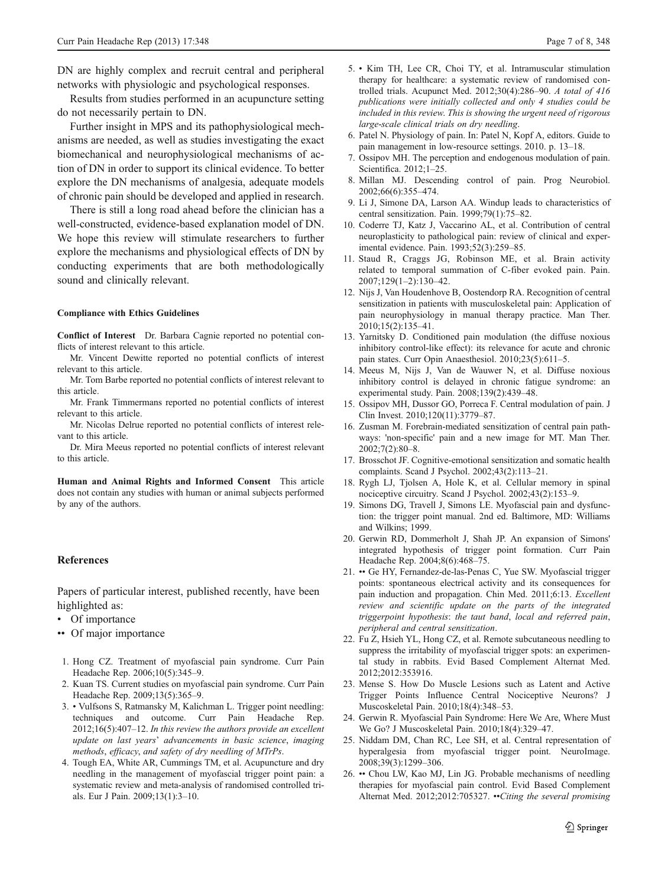<span id="page-6-0"></span>DN are highly complex and recruit central and peripheral networks with physiologic and psychological responses.

Results from studies performed in an acupuncture setting do not necessarily pertain to DN.

Further insight in MPS and its pathophysiological mechanisms are needed, as well as studies investigating the exact biomechanical and neurophysiological mechanisms of action of DN in order to support its clinical evidence. To better explore the DN mechanisms of analgesia, adequate models of chronic pain should be developed and applied in research.

There is still a long road ahead before the clinician has a well-constructed, evidence-based explanation model of DN. We hope this review will stimulate researchers to further explore the mechanisms and physiological effects of DN by conducting experiments that are both methodologically sound and clinically relevant.

#### Compliance with Ethics Guidelines

Conflict of Interest Dr. Barbara Cagnie reported no potential conflicts of interest relevant to this article.

Mr. Vincent Dewitte reported no potential conflicts of interest relevant to this article.

Mr. Tom Barbe reported no potential conflicts of interest relevant to this article.

Mr. Frank Timmermans reported no potential conflicts of interest relevant to this article.

Mr. Nicolas Delrue reported no potential conflicts of interest relevant to this article.

Dr. Mira Meeus reported no potential conflicts of interest relevant to this article.

Human and Animal Rights and Informed Consent This article does not contain any studies with human or animal subjects performed by any of the authors.

#### References

Papers of particular interest, published recently, have been highlighted as:

- Of importance
- Of major importance
- 1. Hong CZ. Treatment of myofascial pain syndrome. Curr Pain Headache Rep. 2006;10(5):345–9.
- 2. Kuan TS. Current studies on myofascial pain syndrome. Curr Pain Headache Rep. 2009;13(5):365–9.
- 3. Vulfsons S, Ratmansky M, Kalichman L. Trigger point needling: techniques and outcome. Curr Pain Headache Rep. 2012;16(5):407–12. In this review the authors provide an excellent update on last years' advancements in basic science, imaging methods, efficacy, and safety of dry needling of MTrPs.
- 4. Tough EA, White AR, Cummings TM, et al. Acupuncture and dry needling in the management of myofascial trigger point pain: a systematic review and meta-analysis of randomised controlled trials. Eur J Pain. 2009;13(1):3–10.
- 5. Kim TH, Lee CR, Choi TY, et al. Intramuscular stimulation therapy for healthcare: a systematic review of randomised controlled trials. Acupunct Med. 2012;30(4):286–90. A total of 416 publications were initially collected and only 4 studies could be included in this review. This is showing the urgent need of rigorous large-scale clinical trials on dry needling.
- 6. Patel N. Physiology of pain. In: Patel N, Kopf A, editors. Guide to pain management in low-resource settings. 2010. p. 13–18.
- 7. Ossipov MH. The perception and endogenous modulation of pain. Scientifica. 2012;1–25.
- 8. Millan MJ. Descending control of pain. Prog Neurobiol. 2002;66(6):355–474.
- 9. Li J, Simone DA, Larson AA. Windup leads to characteristics of central sensitization. Pain. 1999;79(1):75–82.
- 10. Coderre TJ, Katz J, Vaccarino AL, et al. Contribution of central neuroplasticity to pathological pain: review of clinical and experimental evidence. Pain. 1993;52(3):259–85.
- 11. Staud R, Craggs JG, Robinson ME, et al. Brain activity related to temporal summation of C-fiber evoked pain. Pain. 2007;129(1–2):130–42.
- 12. Nijs J, Van Houdenhove B, Oostendorp RA. Recognition of central sensitization in patients with musculoskeletal pain: Application of pain neurophysiology in manual therapy practice. Man Ther. 2010;15(2):135–41.
- 13. Yarnitsky D. Conditioned pain modulation (the diffuse noxious inhibitory control-like effect): its relevance for acute and chronic pain states. Curr Opin Anaesthesiol. 2010;23(5):611–5.
- 14. Meeus M, Nijs J, Van de Wauwer N, et al. Diffuse noxious inhibitory control is delayed in chronic fatigue syndrome: an experimental study. Pain. 2008;139(2):439–48.
- 15. Ossipov MH, Dussor GO, Porreca F. Central modulation of pain. J Clin Invest. 2010;120(11):3779–87.
- 16. Zusman M. Forebrain-mediated sensitization of central pain pathways: 'non-specific' pain and a new image for MT. Man Ther. 2002;7(2):80–8.
- 17. Brosschot JF. Cognitive-emotional sensitization and somatic health complaints. Scand J Psychol. 2002;43(2):113–21.
- 18. Rygh LJ, Tjolsen A, Hole K, et al. Cellular memory in spinal nociceptive circuitry. Scand J Psychol. 2002;43(2):153–9.
- 19. Simons DG, Travell J, Simons LE. Myofascial pain and dysfunction: the trigger point manual. 2nd ed. Baltimore, MD: Williams and Wilkins; 1999.
- 20. Gerwin RD, Dommerholt J, Shah JP. An expansion of Simons' integrated hypothesis of trigger point formation. Curr Pain Headache Rep. 2004;8(6):468–75.
- 21. •• Ge HY, Fernandez-de-las-Penas C, Yue SW. Myofascial trigger points: spontaneous electrical activity and its consequences for pain induction and propagation. Chin Med. 2011;6:13. Excellent review and scientific update on the parts of the integrated triggerpoint hypothesis: the taut band, local and referred pain, peripheral and central sensitization.
- 22. Fu Z, Hsieh YL, Hong CZ, et al. Remote subcutaneous needling to suppress the irritability of myofascial trigger spots: an experimental study in rabbits. Evid Based Complement Alternat Med. 2012;2012:353916.
- 23. Mense S. How Do Muscle Lesions such as Latent and Active Trigger Points Influence Central Nociceptive Neurons? J Muscoskeletal Pain. 2010;18(4):348–53.
- 24. Gerwin R. Myofascial Pain Syndrome: Here We Are, Where Must We Go? J Muscoskeletal Pain. 2010;18(4):329–47.
- 25. Niddam DM, Chan RC, Lee SH, et al. Central representation of hyperalgesia from myofascial trigger point. NeuroImage. 2008;39(3):1299–306.
- 26. •• Chou LW, Kao MJ, Lin JG. Probable mechanisms of needling therapies for myofascial pain control. Evid Based Complement Alternat Med. 2012;2012:705327. ••Citing the several promising